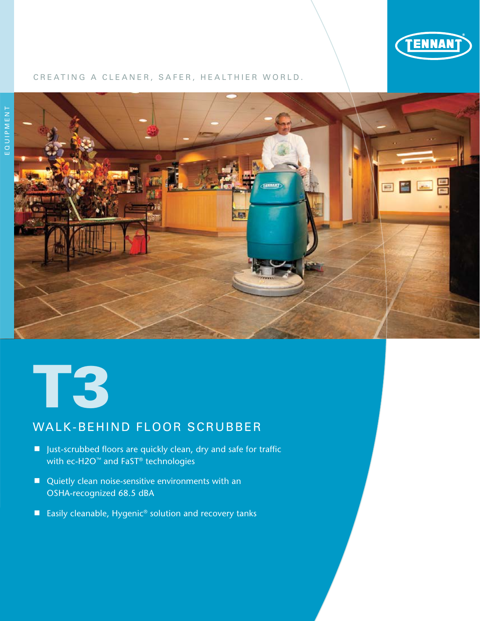

### CREATING A CLEANER, SAFER, HEALTHIER WORLD.





# WALK-BEHIND FLOOR SCRUBBER

- Just-scrubbed floors are quickly clean, dry and safe for traffic with ec-H2O<sup>™</sup> and FaST® technologies
- Quietly clean noise-sensitive environments with an OSHA-recognized 68.5 dBA
- Easily cleanable, Hygenic<sup>®</sup> solution and recovery tanks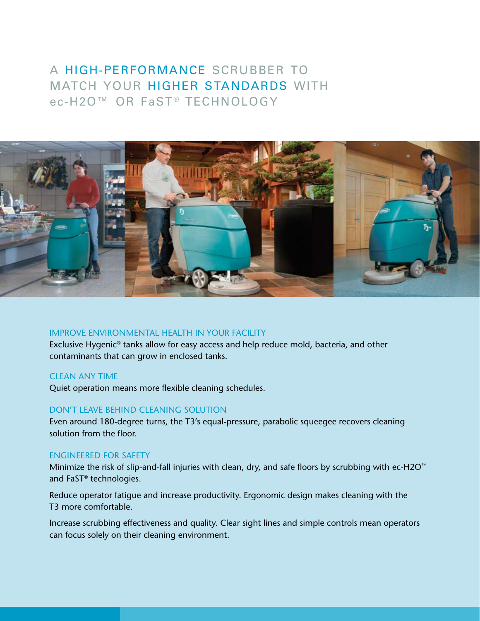## a high-performance scrubber to match your higher standards with ec-H2O™ OR FaST® TECHNOLOGY



## Improve environmental health in your facility

Exclusive Hygenic® tanks allow for easy access and help reduce mold, bacteria, and other contaminants that can grow in enclosed tanks.

## clean any time

Quiet operation means more flexible cleaning schedules.

## don't leave behind cleaning solution

Even around 180-degree turns, the T3's equal-pressure, parabolic squeegee recovers cleaning solution from the floor.

### engineered for safety

Minimize the risk of slip-and-fall injuries with clean, dry, and safe floors by scrubbing with ec-H2O<sup>™</sup> and FaST® technologies.

Reduce operator fatigue and increase productivity. Ergonomic design makes cleaning with the T3 more comfortable.

Increase scrubbing effectiveness and quality. Clear sight lines and simple controls mean operators can focus solely on their cleaning environment.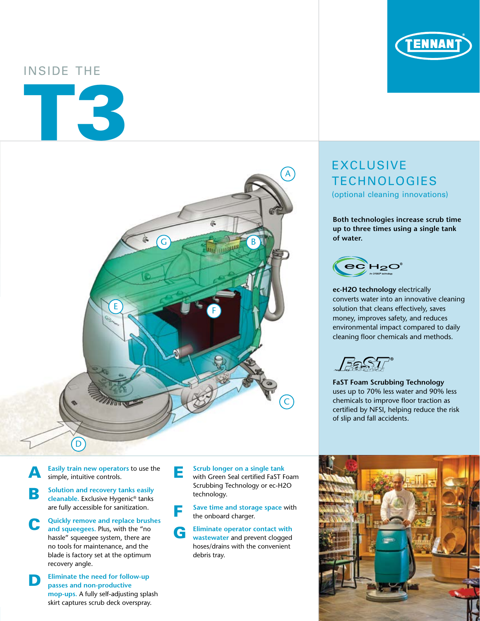# Inside the





A **Easily train new operators** to use the simple, intuitive controls.

- **B** Solution and recovery tanks easily<br> **cleanable.** Exclusive Hygenic® tanks are fully accessible for sanitization.
- **Quickly remove and replace brushes and squeegees.** Plus, with the "no hassle" squeegee system, there are no tools for maintenance, and the blade is factory set at the optimum recovery angle.
- **D Eliminate the need for follow-up passes and non-productive mop-ups.** A fully self-adjusting splash skirt captures scrub deck overspray.

**E** Scrub longer on a single tank<br>
with Green Seal certified FaST Foam Scrubbing Technology or ec-H2O technology.

F **Save time and storage space** with the onboard charger.

G **Eliminate operator contact with wastewater** and prevent clogged hoses/drains with the convenient debris tray.

# **EXCLUSIVE TECHNOLOGIES**

(optional cleaning innovations)

**Both technologies increase scrub time up to three times using a single tank of water.**



**ec-H2O technology** electrically converts water into an innovative cleaning solution that cleans effectively, saves money, improves safety, and reduces environmental impact compared to daily cleaning floor chemicals and methods.

**FaST Foam Scrubbing Technology** uses up to 70% less water and 90% less chemicals to improve floor traction as certified by NFSI, helping reduce the risk of slip and fall accidents.